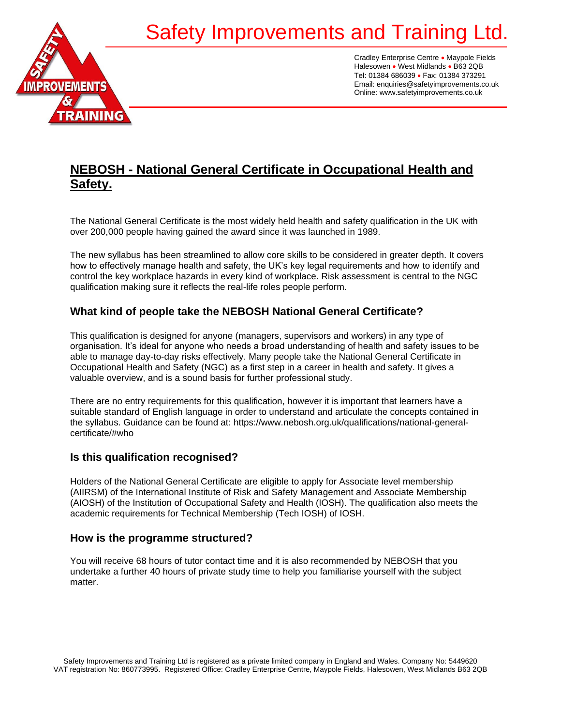# Safety Improvements and Training I



Cradley Enterprise Centre • Maypole Fields Halesowen • West Midlands • B63 2QB Tel: 01384 686039 • Fax: 01384 373291 Email: enquiries@safetyimprovements.co.uk Online: www.safetyimprovements.co.uk

# **NEBOSH - National General Certificate in Occupational Health and Safety.**

The National General Certificate is the most widely held health and safety qualification in the UK with over 200,000 people having gained the award since it was launched in 1989.

The new syllabus has been streamlined to allow core skills to be considered in greater depth. It covers how to effectively manage health and safety, the UK's key legal requirements and how to identify and control the key workplace hazards in every kind of workplace. Risk assessment is central to the NGC qualification making sure it reflects the real-life roles people perform.

## **What kind of people take the NEBOSH National General Certificate?**

This qualification is designed for anyone (managers, supervisors and workers) in any type of organisation. It's ideal for anyone who needs a broad understanding of health and safety issues to be able to manage day-to-day risks effectively. Many people take the National General Certificate in Occupational Health and Safety (NGC) as a first step in a career in health and safety. It gives a valuable overview, and is a sound basis for further professional study.

There are no entry requirements for this qualification, however it is important that learners have a suitable standard of English language in order to understand and articulate the concepts contained in the syllabus. Guidance can be found at: https://www.nebosh.org.uk/qualifications/national-generalcertificate/#who

### **Is this qualification recognised?**

Holders of the National General Certificate are eligible to apply for Associate level membership (AIIRSM) of the International Institute of Risk and Safety Management and Associate Membership (AIOSH) of the Institution of Occupational Safety and Health (IOSH). The qualification also meets the academic requirements for Technical Membership (Tech IOSH) of IOSH.

#### **How is the programme structured?**

You will receive 68 hours of tutor contact time and it is also recommended by NEBOSH that you undertake a further 40 hours of private study time to help you familiarise yourself with the subject matter.